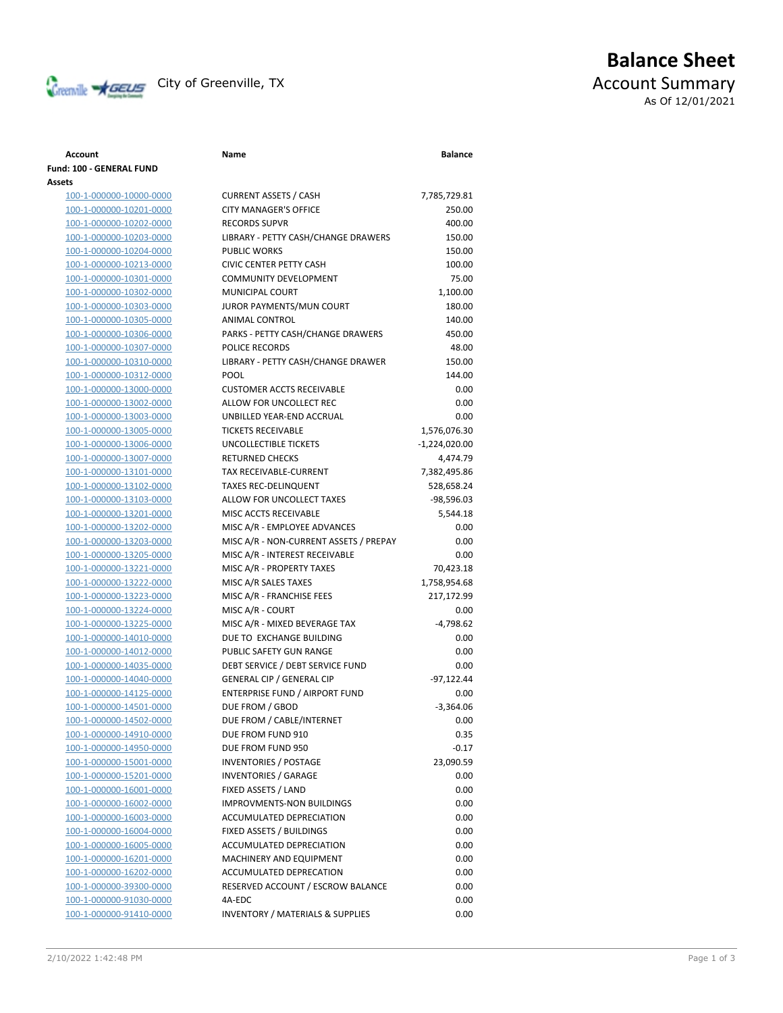

# **Balance Sheet** Creenville **AGEUS** City of Greenville, TX **ACCOUNT** ACCOUNT Summary As Of 12/01/2021

### **Account Name Balance Fund: 100 - GENERAL FUND Assets** 100-1-000000-10000-0000 CURRENT ASSETS / CASH 7,785,729.81 100-1-000000-10201-0000 CITY MANAGER'S OFFICE 250.00 100-1-000000-10202-0000 RECORDS SUPVR 400.00 100-1-000000-10203-0000 LIBRARY - PETTY CASH/CHANGE DRAWERS 150.00 100-1-000000-10204-0000 PUBLIC WORKS 150.00 100-1-000000-10213-0000 CIVIC CENTER PETTY CASH 100.00 100-1-000000-10301-0000 COMMUNITY DEVELOPMENT 75.00 100-1-000000-10302-0000 MUNICIPAL COURT 1,100.00 100-1-000000-10303-0000 JUROR PAYMENTS/MUN COURT 180.00 100-1-000000-10305-0000 ANIMAL CONTROL 140.00 100-1-000000-10306-0000 PARKS - PETTY CASH/CHANGE DRAWERS 450.00 100-1-000000-10307-0000 POLICE RECORDS 48.00 100-1-000000-10310-0000 LIBRARY - PETTY CASH/CHANGE DRAWER 150.00 100-1-000000-10312-0000 POOL 144.00 100-1-000000-13000-0000 CUSTOMER ACCTS RECEIVABLE 0.00 100-1-000000-13002-0000 ALLOW FOR UNCOLLECT REC 0.00 100-1-000000-13003-0000 UNBILLED YEAR-END ACCRUAL 0.00 100-1-000000-13005-0000 TICKETS RECEIVABLE 1,576,076.30 100-1-000000-13006-0000 UNCOLLECTIBLE TICKETS -1,224,020.00 100-1-000000-13007-0000 RETURNED CHECKS 4,474.79 100-1-000000-13101-0000 TAX RECEIVABLE-CURRENT 7,382,495.86 100-1-000000-13102-0000 TAXES REC-DELINQUENT 528,658.24 100-1-000000-13103-0000 ALLOW FOR UNCOLLECT TAXES -98,596.03 100-1-000000-13201-0000 MISC ACCTS RECEIVABLE 5,544.18 100-1-000000-13202-0000 MISC A/R - EMPLOYEE ADVANCES 0.00 100-1-000000-13203-0000 MISC A/R - NON-CURRENT ASSETS / PREPAY 0.00 100-1-000000-13205-0000 MISC A/R - INTEREST RECEIVABLE 0.00 100-1-000000-13221-0000 MISC A/R - PROPERTY TAXES 70,423.18 100-1-000000-13222-0000 MISC A/R SALES TAXES 1,758,954.68 100-1-000000-13223-0000 MISC A/R - FRANCHISE FEES 217,172.99 100-1-000000-13224-0000 MISC A/R - COURT 0.00 100-1-000000-13225-0000 MISC A/R - MIXED BEVERAGE TAX -4,798.62 100-1-000000-14010-0000 DUE TO EXCHANGE BUILDING 0.00 100-1-000000-14012-0000 PUBLIC SAFETY GUN RANGE 0.00 100-1-000000-14035-0000 DEBT SERVICE / DEBT SERVICE FUND 0.00 100-1-000000-14040-0000 GENERAL CIP / GENERAL CIP -97,122.44 100-1-000000-14125-0000 ENTERPRISE FUND / AIRPORT FUND 0.00 100-1-000000-14501-0000 DUE FROM / GBOD -3,364.06 100-1-000000-14502-0000 DUE FROM / CABLE/INTERNET 0.00 100-1-000000-14910-0000 DUE FROM FUND 910 0.35 100-1-000000-14950-0000 DUE FROM FUND 950 -0.17 100-1-000000-15001-0000 INVENTORIES / POSTAGE 23,090.59 100-1-000000-15201-0000 INVENTORIES / GARAGE 0.00 100-1-000000-16001-0000 FIXED ASSETS / LAND 0.00 100-1-000000-16002-0000 IMPROVMENTS-NON BUILDINGS 0.00 100-1-000000-16003-0000 ACCUMULATED DEPRECIATION 0.00 100-1-000000-16004-0000 FIXED ASSETS / BUILDINGS 0.00 100-1-000000-16005-0000 ACCUMULATED DEPRECIATION 0.00 100-1-000000-16201-0000 MACHINERY AND EQUIPMENT 0.00 100-1-000000-16202-0000 ACCUMULATED DEPRECATION 0.00 100-1-000000-39300-0000 RESERVED ACCOUNT / ESCROW BALANCE 0.00 100-1-000000-91030-0000 4A-EDC 0.00 100-1-000000-91410-0000 INVENTORY / MATERIALS & SUPPLIES 0.00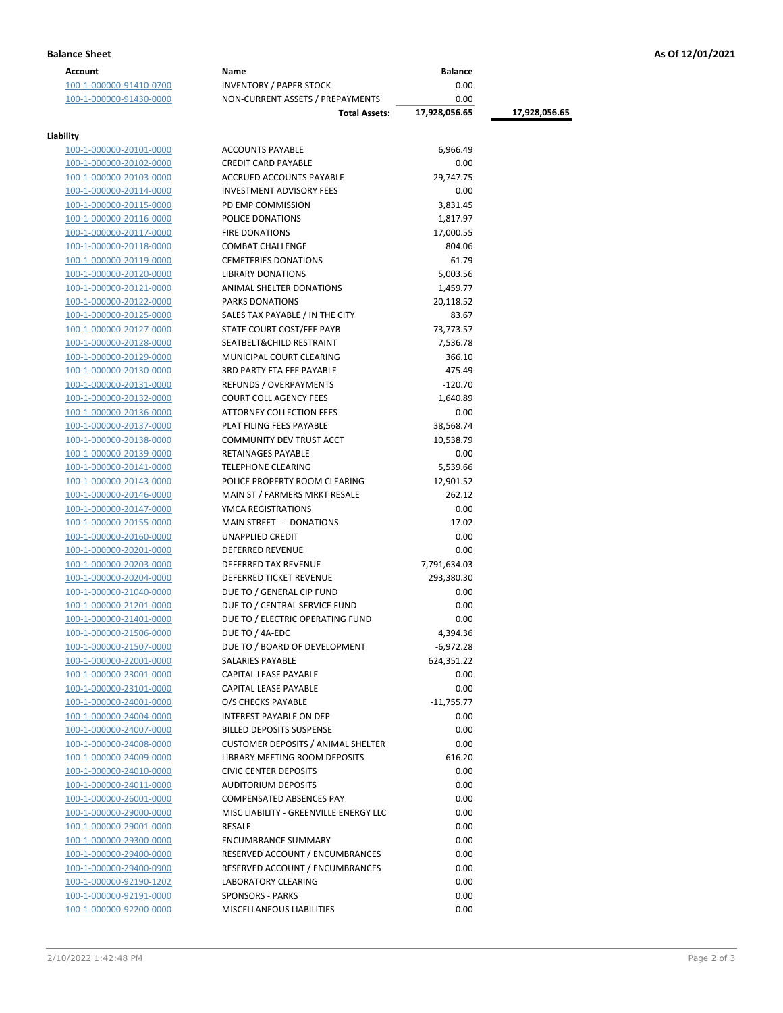| <b>Account</b>          | Name                                      | <b>Balance</b> |               |
|-------------------------|-------------------------------------------|----------------|---------------|
| 100-1-000000-91410-0700 | <b>INVENTORY / PAPER STOCK</b>            | 0.00           |               |
| 100-1-000000-91430-0000 | NON-CURRENT ASSETS / PREPAYMENTS          | 0.00           |               |
|                         | <b>Total Assets:</b>                      | 17,928,056.65  | 17,928,056.65 |
|                         |                                           |                |               |
| Liability               |                                           |                |               |
| 100-1-000000-20101-0000 | <b>ACCOUNTS PAYABLE</b>                   | 6,966.49       |               |
| 100-1-000000-20102-0000 | <b>CREDIT CARD PAYABLE</b>                | 0.00           |               |
| 100-1-000000-20103-0000 | ACCRUED ACCOUNTS PAYABLE                  | 29,747.75      |               |
| 100-1-000000-20114-0000 | <b>INVESTMENT ADVISORY FEES</b>           | 0.00           |               |
| 100-1-000000-20115-0000 | PD EMP COMMISSION                         | 3,831.45       |               |
| 100-1-000000-20116-0000 | POLICE DONATIONS                          | 1,817.97       |               |
| 100-1-000000-20117-0000 | <b>FIRE DONATIONS</b>                     | 17,000.55      |               |
| 100-1-000000-20118-0000 | <b>COMBAT CHALLENGE</b>                   | 804.06         |               |
| 100-1-000000-20119-0000 | <b>CEMETERIES DONATIONS</b>               | 61.79          |               |
| 100-1-000000-20120-0000 | <b>LIBRARY DONATIONS</b>                  | 5,003.56       |               |
| 100-1-000000-20121-0000 | ANIMAL SHELTER DONATIONS                  | 1,459.77       |               |
| 100-1-000000-20122-0000 | <b>PARKS DONATIONS</b>                    | 20,118.52      |               |
| 100-1-000000-20125-0000 | SALES TAX PAYABLE / IN THE CITY           | 83.67          |               |
| 100-1-000000-20127-0000 | STATE COURT COST/FEE PAYB                 | 73,773.57      |               |
| 100-1-000000-20128-0000 | SEATBELT&CHILD RESTRAINT                  | 7,536.78       |               |
| 100-1-000000-20129-0000 | MUNICIPAL COURT CLEARING                  | 366.10         |               |
| 100-1-000000-20130-0000 | <b>3RD PARTY FTA FEE PAYABLE</b>          | 475.49         |               |
| 100-1-000000-20131-0000 | REFUNDS / OVERPAYMENTS                    | $-120.70$      |               |
| 100-1-000000-20132-0000 | <b>COURT COLL AGENCY FEES</b>             | 1,640.89       |               |
| 100-1-000000-20136-0000 | <b>ATTORNEY COLLECTION FEES</b>           | 0.00           |               |
| 100-1-000000-20137-0000 | PLAT FILING FEES PAYABLE                  | 38,568.74      |               |
| 100-1-000000-20138-0000 | COMMUNITY DEV TRUST ACCT                  | 10,538.79      |               |
| 100-1-000000-20139-0000 | RETAINAGES PAYABLE                        | 0.00           |               |
| 100-1-000000-20141-0000 | <b>TELEPHONE CLEARING</b>                 | 5,539.66       |               |
| 100-1-000000-20143-0000 | POLICE PROPERTY ROOM CLEARING             | 12,901.52      |               |
| 100-1-000000-20146-0000 | MAIN ST / FARMERS MRKT RESALE             | 262.12         |               |
| 100-1-000000-20147-0000 | YMCA REGISTRATIONS                        | 0.00           |               |
| 100-1-000000-20155-0000 | MAIN STREET - DONATIONS                   | 17.02          |               |
| 100-1-000000-20160-0000 | UNAPPLIED CREDIT                          | 0.00           |               |
| 100-1-000000-20201-0000 | <b>DEFERRED REVENUE</b>                   | 0.00           |               |
| 100-1-000000-20203-0000 | DEFERRED TAX REVENUE                      | 7,791,634.03   |               |
| 100-1-000000-20204-0000 | <b>DEFERRED TICKET REVENUE</b>            | 293,380.30     |               |
| 100-1-000000-21040-0000 | DUE TO / GENERAL CIP FUND                 | 0.00           |               |
| 100-1-000000-21201-0000 | DUE TO / CENTRAL SERVICE FUND             | 0.00           |               |
| 100-1-000000-21401-0000 | DUE TO / ELECTRIC OPERATING FUND          | 0.00           |               |
| 100-1-000000-21506-0000 | DUE TO / 4A-EDC                           | 4,394.36       |               |
| 100-1-000000-21507-0000 | DUE TO / BOARD OF DEVELOPMENT             | $-6,972.28$    |               |
| 100-1-000000-22001-0000 | SALARIES PAYABLE                          | 624,351.22     |               |
| 100-1-000000-23001-0000 | CAPITAL LEASE PAYABLE                     | 0.00           |               |
| 100-1-000000-23101-0000 | CAPITAL LEASE PAYABLE                     | 0.00           |               |
| 100-1-000000-24001-0000 | O/S CHECKS PAYABLE                        | $-11,755.77$   |               |
| 100-1-000000-24004-0000 | <b>INTEREST PAYABLE ON DEP</b>            | 0.00           |               |
| 100-1-000000-24007-0000 | <b>BILLED DEPOSITS SUSPENSE</b>           | 0.00           |               |
| 100-1-000000-24008-0000 | <b>CUSTOMER DEPOSITS / ANIMAL SHELTER</b> | 0.00           |               |
| 100-1-000000-24009-0000 | LIBRARY MEETING ROOM DEPOSITS             | 616.20         |               |
| 100-1-000000-24010-0000 | <b>CIVIC CENTER DEPOSITS</b>              | 0.00           |               |
| 100-1-000000-24011-0000 | <b>AUDITORIUM DEPOSITS</b>                | 0.00           |               |
| 100-1-000000-26001-0000 | <b>COMPENSATED ABSENCES PAY</b>           | 0.00           |               |
| 100-1-000000-29000-0000 | MISC LIABILITY - GREENVILLE ENERGY LLC    | 0.00           |               |
| 100-1-000000-29001-0000 | RESALE                                    | 0.00           |               |
| 100-1-000000-29300-0000 | <b>ENCUMBRANCE SUMMARY</b>                | 0.00           |               |
| 100-1-000000-29400-0000 | RESERVED ACCOUNT / ENCUMBRANCES           | 0.00           |               |
| 100-1-000000-29400-0900 | RESERVED ACCOUNT / ENCUMBRANCES           | 0.00           |               |
| 100-1-000000-92190-1202 | LABORATORY CLEARING                       | 0.00           |               |
| 100-1-000000-92191-0000 | <b>SPONSORS - PARKS</b>                   | 0.00           |               |
| 100-1-000000-92200-0000 | MISCELLANEOUS LIABILITIES                 | 0.00           |               |
|                         |                                           |                |               |